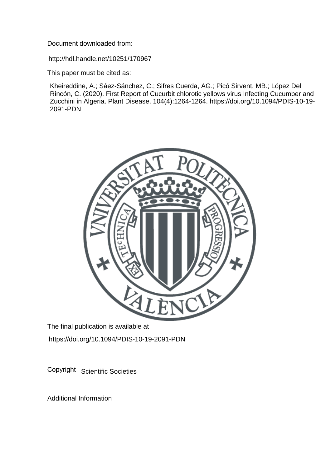Document downloaded from:

http://hdl.handle.net/10251/170967

This paper must be cited as:

Kheireddine, A.; Sáez-Sánchez, C.; Sifres Cuerda, AG.; Picó Sirvent, MB.; López Del Rincón, C. (2020). First Report of Cucurbit chlorotic yellows virus Infecting Cucumber and Zucchini in Algeria. Plant Disease. 104(4):1264-1264. https://doi.org/10.1094/PDIS-10-19- 2091-PDN



The final publication is available at https://doi.org/10.1094/PDIS-10-19-2091-PDN

Copyright Scientific Societies

Additional Information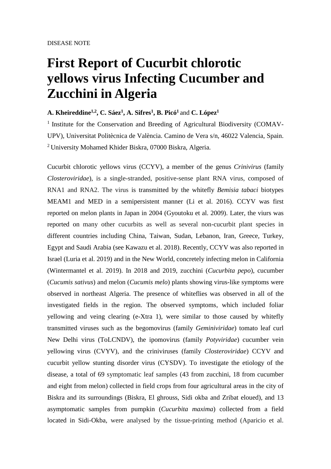## **First Report of Cucurbit chlorotic yellows virus Infecting Cucumber and Zucchini in Algeria**

## **A. Kheireddine1,2, C. Sáez<sup>1</sup> , A. Sifres<sup>1</sup> , B. Picó<sup>1</sup>** and **C. López<sup>1</sup>**

<sup>1</sup> Institute for the Conservation and Breeding of Agricultural Biodiversity (COMAV-UPV), Universitat Politècnica de València. Camino de Vera s/n, 46022 Valencia, Spain. <sup>2</sup> University Mohamed Khider Biskra, 07000 Biskra, Algeria.

Cucurbit chlorotic yellows virus (CCYV), a member of the genus *Crinivirus* (family *Closteroviridae*), is a single-stranded, positive-sense plant RNA virus, composed of RNA1 and RNA2. The virus is transmitted by the whitefly *Bemisia tabaci* biotypes MEAM1 and MED in a semipersistent manner (Li et al. 2016). CCYV was first reported on melon plants in Japan in 2004 (Gyoutoku et al. 2009). Later, the viurs was reported on many other cucurbits as well as several non-cucurbit plant species in different countries including China, Taiwan, Sudan, Lebanon, Iran, Greece, Turkey, Egypt and Saudi Arabia (see Kawazu et al. 2018). Recently, CCYV was also reported in Israel (Luria et al. 2019) and in the New World, concretely infecting melon in California (Wintermantel et al. 2019). In 2018 and 2019, zucchini (*Cucurbita pepo*), cucumber (*Cucumis sativus*) and melon (*Cucumis melo*) plants showing virus-like symptoms were observed in northeast Algeria. The presence of whiteflies was observed in all of the investigated fields in the region. The observed symptoms, which included foliar yellowing and veing clearing (e-Xtra 1), were similar to those caused by whitefly transmitted viruses such as the begomovirus (family *Geminiviridae*) tomato leaf curl New Delhi virus (ToLCNDV), the ipomovirus (family *Potyviridae*) cucumber vein yellowing virus (CVYV), and the criniviruses (family *Closteroviridae*) CCYV and cucurbit yellow stunting disorder virus (CYSDV). To investigate the etiology of the disease, a total of 69 symptomatic leaf samples (43 from zucchini, 18 from cucumber and eight from melon) collected in field crops from four agricultural areas in the city of Biskra and its surroundings (Biskra, El ghrouss, Sidi okba and Zribat eloued), and 13 asymptomatic samples from pumpkin (*Cucurbita maxima*) collected from a field located in Sidi-Okba, were analysed by the tissue-printing method (Aparicio et al.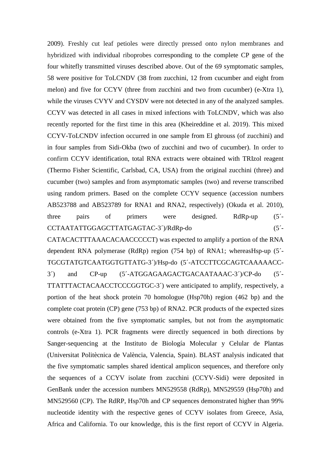2009). Freshly cut leaf petioles were directly pressed onto nylon membranes and hybridized with individual riboprobes corresponding to the complete CP gene of the four whitefly transmitted viruses described above. Out of the 69 symptomatic samples, 58 were positive for ToLCNDV (38 from zucchini, 12 from cucumber and eight from melon) and five for CCYV (three from zucchini and two from cucumber) (e-Xtra 1), while the viruses CVYV and CYSDV were not detected in any of the analyzed samples. CCYV was detected in all cases in mixed infections with ToLCNDV, which was also recently reported for the first time in this area (Kheireddine et al. 2019). This mixed CCYV-ToLCNDV infection occurred in one sample from El ghrouss (of zucchini) and in four samples from Sidi-Okba (two of zucchini and two of cucumber). In order to confirm CCYV identification, total RNA extracts were obtained with TRIzol reagent (Thermo Fisher Scientific, Carlsbad, CA, USA) from the original zucchini (three) and cucumber (two) samples and from asymptomatic samples (two) and reverse transcribed using random primers. Based on the complete CCYV sequence (accession numbers AB523788 and AB523789 for RNA1 and RNA2, respectively) (Okuda et al. 2010), three pairs of primers were designed. RdRp-up (5´- CCTAATATTGGAGCTTATGAGTAC-3´)/RdRp-do (5´-

CATACACTTTAAACACAACCCCCT) was expected to amplify a portion of the RNA dependent RNA polymerase (RdRp) region (754 bp) of RNA1; whereasHsp-up (5´- TGCGTATGTCAATGGTGTTATG-3´)/Hsp-do (5´-ATCCTTCGCAGTCAAAAACC-3´) and CP-up (5´-ATGGAGAAGACTGACAATAAAC-3´)/CP-do (5´- TTATTTACTACAACCTCCCGGTGC-3´) were anticipated to amplify, respectively, a portion of the heat shock protein 70 homologue (Hsp70h) region (462 bp) and the complete coat protein (CP) gene (753 bp) of RNA2. PCR products of the expected sizes were obtained from the five symptomatic samples, but not from the asymptomatic controls (e-Xtra 1). PCR fragments were directly sequenced in both directions by Sanger-sequencing at the Instituto de Biología Molecular y Celular de Plantas (Universitat Politècnica de València, Valencia, Spain). BLAST analysis indicated that the five symptomatic samples shared identical amplicon sequences, and therefore only the sequences of a CCYV isolate from zucchini (CCYV-Sidi) were deposited in GenBank under the accession numbers MN529558 (RdRp), MN529559 (Hsp70h) and MN529560 (CP). The RdRP, Hsp70h and CP sequences demonstrated higher than 99% nucleotide identity with the respective genes of CCYV isolates from Greece, Asia, Africa and California. To our knowledge, this is the first report of CCYV in Algeria.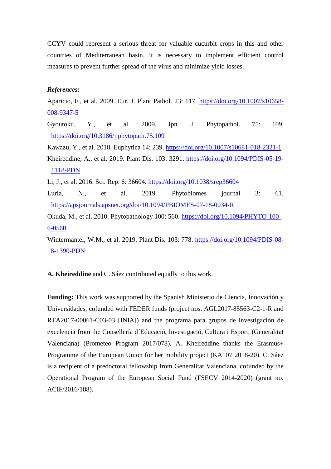CCYV could represent a serious threat for valuable cucurbit crops in this and other countries of Mediterranean basin. It is necessary to implement efficient control measures to prevent further spread of the virus and minimize yield losses.

## *References***:**

Aparicio, F., et al. 2009. Eur. J. Plant Pathol. 23: 117. [https://doi.org/10.1007/s10658-](https://doi.org/10.1007/s10658-008-9347-5) [008-9347-5](https://doi.org/10.1007/s10658-008-9347-5)

Gyoutoku, Y., et al. 2009. Jpn. J. Phytopathol. 75: 109. <https://doi.org/10.3186/jjphytopath.75.109>

Kawazu, Y., et al. 2018. Euphytica 14: 239.<https://doi.org/10.1007/s10681-018-2321-1>

Kheireddine, A., et al. 2019. Plant Dis. 103: 3291. [https://doi.org/10.1094/PDIS-05-19-](https://doi.org/10.1094/PDIS-05-19-1118-PDN) [1118-PDN](https://doi.org/10.1094/PDIS-05-19-1118-PDN)

Li, J., et al. 2016. Sci. Rep. 6: 36604.<https://doi.org/10.1038/srep36604>

Luria, N., et al. 2019. Phytobiomes journal 3: 61. https://apsjournals.apsnet.org/doi/10.1094/PBIOMES-07-18-0034-R

Okuda, M., et al. 2010. Phytopathology 100: 560. [https://doi.org/10.1094/PHYTO-100-](https://doi.org/10.1094/PHYTO-100-6-0560) [6-0560](https://doi.org/10.1094/PHYTO-100-6-0560)

Wintermantel, W.M., et al. 2019. Plant Dis. 103: 778. [https://doi.org/10.1094/PDIS-08-](https://doi.org/10.1094/PDIS-08-18-1390-PDN) [18-1390-PDN](https://doi.org/10.1094/PDIS-08-18-1390-PDN)

**A. Kheireddine** and C. Sáez contributed equally to this work.

**Funding:** This work was supported by the Spanish Ministerio de Ciencia, Innovación y Universidades, cofunded with FEDER funds (project nos. AGL2017-85563-C2-1-R and RTA2017-00061-C03-03 [INIA]) and the programa para grupos de investigación de excelencia from the Consellería d´Educació, Investigació, Cultura i Esport, (Generalitat Valenciana) (Prometeo Program 2017/078). A. Kheireddine thanks the Erasmus+ Programme of the European Union for her mobility project (KA107 2018-20). C. Sáez is a recipient of a predoctoral fellowship from Generalitat Valenciana, cofunded by the Operational Program of the European Social Fund (FSECV 2014-2020) (grant no. ACIF/2016/188).